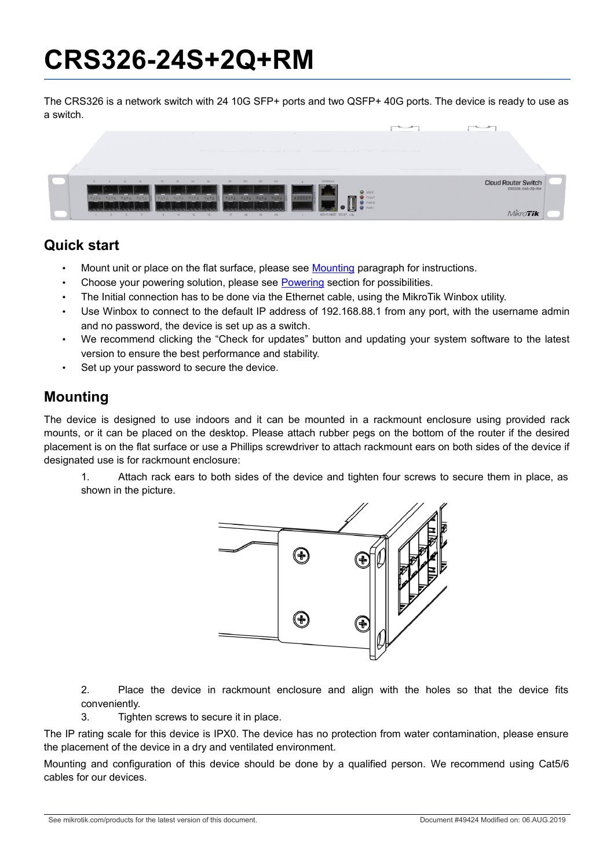## **CRS326-24S+2Q+RM**

The CRS326 is a network switch with 24 10G SFP+ ports and two QSFP+ 40G ports. The device is ready to use as a switch.



#### **Quick start**

- Mount unit or place on the flat surface, please see [Mounting](#page-0-0) paragraph for instructions.
- Choose your powering solution, please see [Powering](#page-1-0) section for possibilities.
- The Initial connection has to be done via the Ethernet cable, using the MikroTik Winbox utility.
- Use Winbox to connect to the default IP address of 192.168.88.1 from any port, with the username admin and no password, the device is set up as a switch.
- We recommend clicking the "Check for updates" button and updating your system software to the latest version to ensure the best performance and stability.
- Set up your password to secure the device.

#### <span id="page-0-0"></span>**Mounting**

The device is designed to use indoors and it can be mounted in a rackmount enclosure using provided rack mounts, or it can be placed on the desktop. Please attach rubber pegs on the bottom of the router if the desired placement is on the flat surface or use a Phillips screwdriver to attach rackmount ears on both sides of the device if designated use is for rackmount enclosure:

1. Attach rack ears to both sides of the device and tighten four screws to secure them in place, as shown in the picture.



2. Place the device in rackmount enclosure and align with the holes so that the device fits conveniently.

3. Tighten screws to secure it in place.

The IP rating scale for this device is IPX0. The device has no protection from water contamination, please ensure the placement of the device in a dry and ventilated environment.

Mounting and configuration of this device should be done by a qualified person. We recommend using Cat5/6 cables for our devices.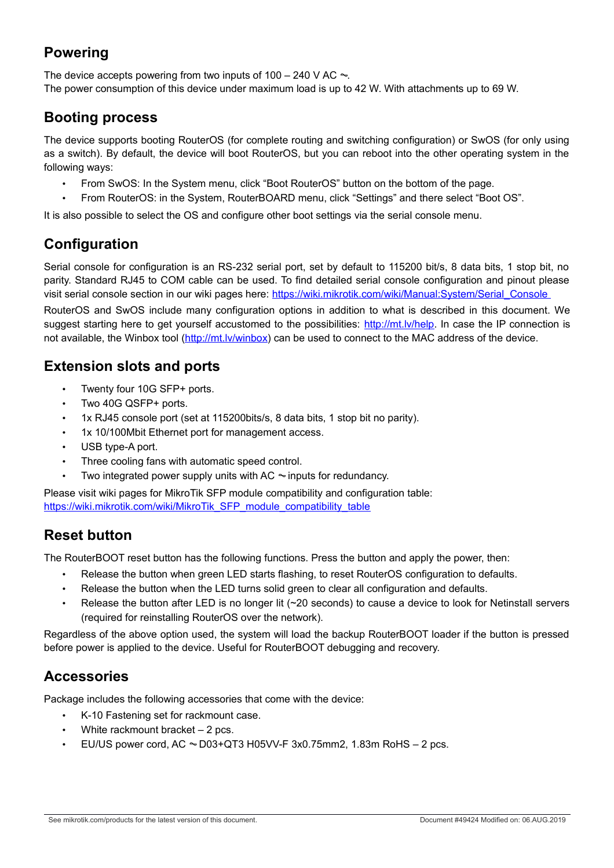#### <span id="page-1-0"></span>**Powering**

The device accepts powering from two inputs of 100 – 240 V AC  $\sim$ . The power consumption of this device under maximum load is up to 42 W. With attachments up to 69 W.

#### **Booting process**

The device supports booting RouterOS (for complete routing and switching configuration) or SwOS (for only using as a switch). By default, the device will boot RouterOS, but you can reboot into the other operating system in the following ways:

- From SwOS: In the System menu, click "Boot RouterOS" button on the bottom of the page.
- From RouterOS: in the System, RouterBOARD menu, click "Settings" and there select "Boot OS".

It is also possible to select the OS and configure other boot settings via the serial console menu.

#### **Configuration**

Serial console for configuration is an RS-232 serial port, set by default to 115200 bit/s, 8 data bits, 1 stop bit, no parity. Standard RJ45 to COM cable can be used. To find detailed serial console configuration and pinout please visit serial console section in our wiki pages here: [https://wiki.mikrotik.com/wiki/Manual:System/Serial\\_Console](https://wiki.mikrotik.com/wiki/Manual:System/Serial_Console%20)

RouterOS and SwOS include many configuration options in addition to what is described in this document. We suggest starting here to get yourself accustomed to the possibilities: [http://mt.lv/help.](http://mt.lv/help) In case the IP connection is not available, the Winbox tool [\(http://mt.lv/winbox\)](http://mt.lv/winbox) can be used to connect to the MAC address of the device.

#### **Extension slots and ports**

- Twenty four 10G SFP+ ports.
- Two 40G QSFP+ ports.
- 1x RJ45 console port (set at 115200bits/s, 8 data bits, 1 stop bit no parity).
- 1x 10/100Mbit Ethernet port for management access.
- USB type-A port.
- Three cooling fans with automatic speed control.
- Two integrated power supply units with AC  $\sim$  inputs for redundancy.

Please visit wiki pages for MikroTik SFP module compatibility and configuration table: [https://wiki.mikrotik.com/wiki/MikroTik\\_SFP\\_module\\_compatibility\\_table](https://wiki.mikrotik.com/wiki/MikroTik_SFP_module_compatibility_table)

#### **Reset button**

The RouterBOOT reset button has the following functions. Press the button and apply the power, then:

- Release the button when green LED starts flashing, to reset RouterOS configuration to defaults.
- Release the button when the LED turns solid green to clear all configuration and defaults.
- Release the button after LED is no longer lit (~20 seconds) to cause a device to look for Netinstall servers (required for reinstalling RouterOS over the network).

Regardless of the above option used, the system will load the backup RouterBOOT loader if the button is pressed before power is applied to the device. Useful for RouterBOOT debugging and recovery.

#### **Accessories**

Package includes the following accessories that come with the device:

- K-10 Fastening set for rackmount case.
- White rackmount bracket  $-2$  pcs.
- EU/US power cord,  $AC \sim D03+QT3$  H05VV-F 3x0.75mm2, 1.83m RoHS 2 pcs.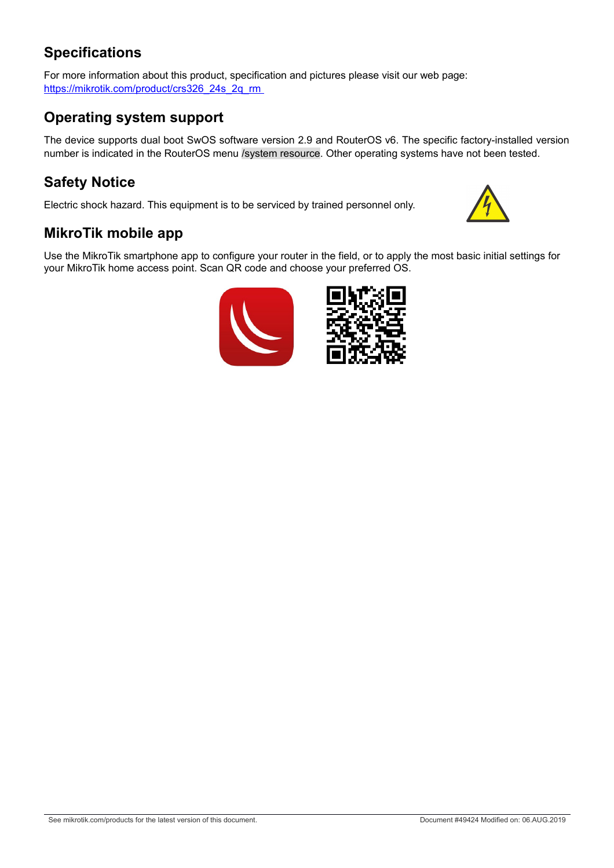#### **Specifications**

For more information about this product, specification and pictures please visit our web page: https://mikrotik.com/product/crs326\_24s\_2q\_rm

#### **Operating system support**

The device supports dual boot SwOS software version 2.9 and RouterOS v6. The specific factory-installed version number is indicated in the RouterOS menu /system resource. Other operating systems have not been tested.

#### **Safety Notice**

Electric shock hazard. This equipment is to be serviced by trained personnel only.



#### **MikroTik mobile app**

Use the MikroTik smartphone app to configure your router in the field, or to apply the most basic initial settings for your MikroTik home access point. Scan QR code and choose your preferred OS.

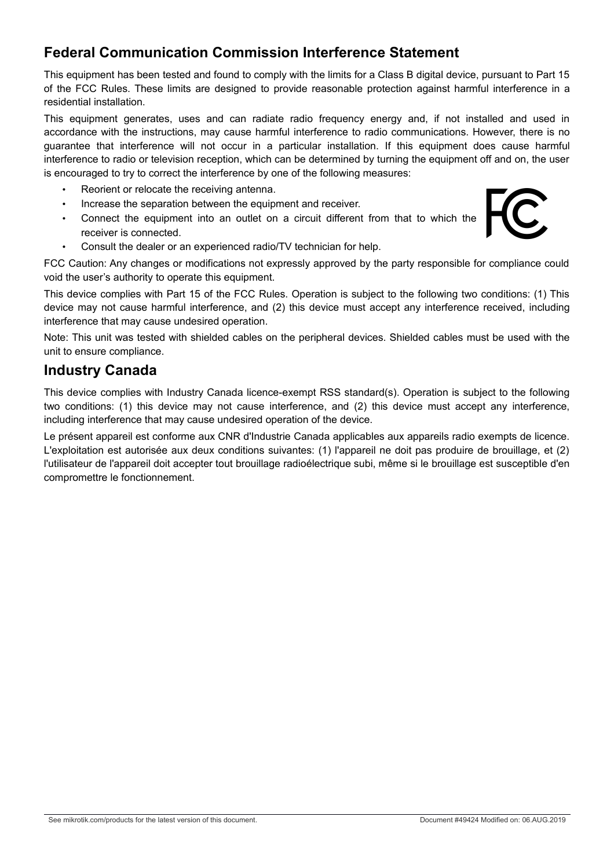#### **Federal Communication Commission Interference Statement**

This equipment has been tested and found to comply with the limits for a Class B digital device, pursuant to Part 15 of the FCC Rules. These limits are designed to provide reasonable protection against harmful interference in a residential installation.

This equipment generates, uses and can radiate radio frequency energy and, if not installed and used in accordance with the instructions, may cause harmful interference to radio communications. However, there is no guarantee that interference will not occur in a particular installation. If this equipment does cause harmful interference to radio or television reception, which can be determined by turning the equipment off and on, the user is encouraged to try to correct the interference by one of the following measures:

- Reorient or relocate the receiving antenna.
- Increase the separation between the equipment and receiver.
- Connect the equipment into an outlet on a circuit different from that to which the receiver is connected.
- Consult the dealer or an experienced radio/TV technician for help.

FCC Caution: Any changes or modifications not expressly approved by the party responsible for compliance could void the user's authority to operate this equipment.

This device complies with Part 15 of the FCC Rules. Operation is subject to the following two conditions: (1) This device may not cause harmful interference, and (2) this device must accept any interference received, including interference that may cause undesired operation.

Note: This unit was tested with shielded cables on the peripheral devices. Shielded cables must be used with the unit to ensure compliance.

#### **Industry Canada**

This device complies with Industry Canada licence-exempt RSS standard(s). Operation is subject to the following two conditions: (1) this device may not cause interference, and (2) this device must accept any interference, including interference that may cause undesired operation of the device.

Le présent appareil est conforme aux CNR d'Industrie Canada applicables aux appareils radio exempts de licence. L'exploitation est autorisée aux deux conditions suivantes: (1) l'appareil ne doit pas produire de brouillage, et (2) l'utilisateur de l'appareil doit accepter tout brouillage radioélectrique subi, même si le brouillage est susceptible d'en compromettre le fonctionnement.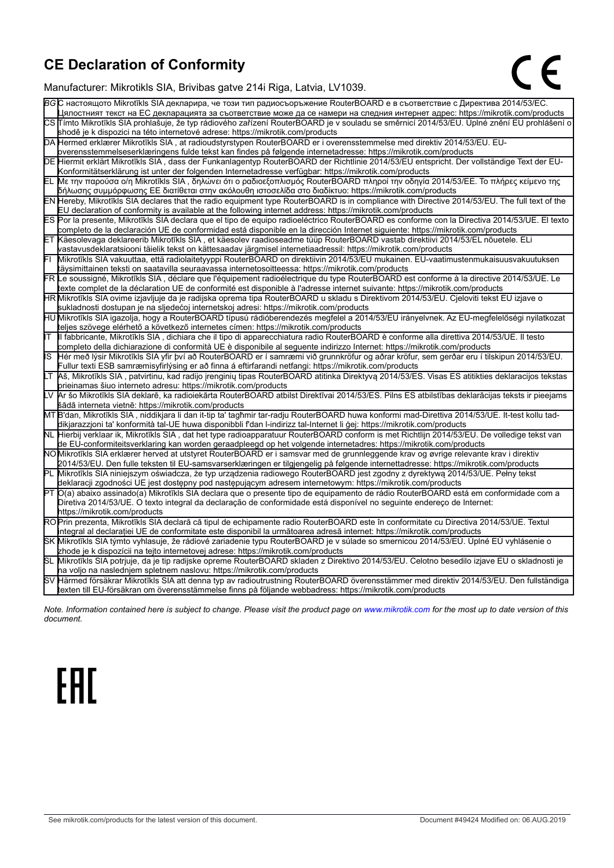### **CE Declaration of Conformity**

Manufacturer: Mikrotikls SIA, Brivibas gatve 214i Riga, Latvia, LV1039.

|     | raharaotaron. mintrotinto Oli t, Dirvibao gatvo 21 in ruga, Latvia,                                                                                                                                                                                 |
|-----|-----------------------------------------------------------------------------------------------------------------------------------------------------------------------------------------------------------------------------------------------------|
|     | ВG С настоящото Mikrotīkls SIA декларира, че този тип радиосъоръжение RouterBOARD е в съответствие с Директива 2014/53/EC.                                                                                                                          |
|     | Цялостният текст на ЕС декларацията за съответствие може да се намери на следния интернет адрес: https://mikrotik.com/products                                                                                                                      |
|     | CS∏ímto Mikrotīkls SIA prohlašuje, že typ rádiového zařízení RouterBOARD je v souladu se směrnicí 2014/53/EU. Úplné znění EU prohlášení o                                                                                                           |
|     | shodě je k dispozici na této internetové adrese: https://mikrotik.com/products                                                                                                                                                                      |
|     | DA Hermed erklærer Mikrotīkls SIA, at radioudstyrstypen RouterBOARD er i overensstemmelse med direktiv 2014/53/EU. EU-                                                                                                                              |
|     | overensstemmelseserklæringens fulde tekst kan findes på følgende internetadresse: https://mikrotik.com/products                                                                                                                                     |
|     | DE Hiermit erklärt Mikrotīkls SIA, dass der Funkanlagentyp RouterBOARD der Richtlinie 2014/53/EU entspricht. Der vollständige Text der EU-                                                                                                          |
|     | Konformitätserklärung ist unter der folgenden Internetadresse verfügbar: https://mikrotik.com/products                                                                                                                                              |
|     | EL Με την παρούσα ο/η Mikrotīkls SIA , δηλώνει ότι ο ραδιοεξοπλισμός RouterBOARD πληροί την οδηγία 2014/53/ΕΕ. Το πλήρες κείμενο της                                                                                                                |
|     | δήλωσης συμμόρφωσης ΕΕ διατίθεται στην ακόλουθη ιστοσελίδα στο διαδίκτυο: https://mikrotik.com/products                                                                                                                                             |
|     | EN Hereby, Mikrotīkls SIA declares that the radio equipment type RouterBOARD is in compliance with Directive 2014/53/EU. The full text of the                                                                                                       |
|     | EU declaration of conformity is available at the following internet address: https://mikrotik.com/products                                                                                                                                          |
|     | ES Por la presente, Mikrotīkls SIA declara que el tipo de equipo radioeléctrico RouterBOARD es conforme con la Directiva 2014/53/UE. El texto                                                                                                       |
|     | completo de la declaración UE de conformidad está disponible en la dirección Internet siguiente: https://mikrotik.com/products                                                                                                                      |
|     | Käesolevaga deklareerib Mikrotīkls SIA, et käesolev raadioseadme tüüp RouterBOARD vastab direktiivi 2014/53/EL nõuetele. ELi                                                                                                                        |
|     | vastavusdeklaratsiooni täielik tekst on kättesaadav järgmisel internetiaadressil: https://mikrotik.com/products                                                                                                                                     |
| Fī  | Mikrotīkls SIA vakuuttaa, että radiolaitetyyppi RouterBOARD on direktiivin 2014/53/EU mukainen. EU-vaatimustenmukaisuusvakuutuksen                                                                                                                  |
|     | täysimittainen teksti on saatavilla seuraavassa internetosoitteessa: https://mikrotik.com/products                                                                                                                                                  |
|     | FR Le soussigné, Mikrotīkls SIA, déclare que l'équipement radioélectrique du type RouterBOARD est conforme à la directive 2014/53/UE. Le                                                                                                            |
|     | texte complet de la déclaration UE de conformité est disponible à l'adresse internet suivante: https://mikrotik.com/products                                                                                                                        |
|     | HR Mikrotīkls SIA ovime izjavljuje da je radijska oprema tipa RouterBOARD u skladu s Direktivom 2014/53/EU. Cjeloviti tekst EU izjave o                                                                                                             |
|     | sukladnosti dostupan je na sljedećoj internetskoj adresi: https://mikrotik.com/products                                                                                                                                                             |
|     | HU Mikrotīkls SIA igazolja, hogy a RouterBOARD típusú rádióberendezés megfelel a 2014/53/EU irányelvnek. Az EU-megfelelőségi nyilatkozat                                                                                                            |
|     | teljes szövege elérhető a következő internetes címen: https://mikrotik.com/products                                                                                                                                                                 |
| lιτ | Il fabbricante, Mikrotīkls SIA, dichiara che il tipo di apparecchiatura radio RouterBOARD è conforme alla direttiva 2014/53/UE. Il testo                                                                                                            |
|     | completo della dichiarazione di conformità UE è disponibile al seguente indirizzo Internet: https://mikrotik.com/products                                                                                                                           |
| IS  | Hér með lýsir Mikrotīkls SIA yfir því að RouterBOARD er í samræmi við grunnkröfur og aðrar kröfur, sem gerðar eru í tilskipun 2014/53/EU.<br>Fullur texti ESB samræmisyfirlýsing er að finna á eftirfarandi netfangi: https://mikrotik.com/products |
|     | Aš, Mikrotīkls SIA, patvirtinu, kad radijo įrenginių tipas RouterBOARD atitinka Direktyvą 2014/53/ES. Visas ES atitikties deklaracijos tekstas                                                                                                      |
|     | prieinamas šiuo interneto adresu: https://mikrotik.com/products                                                                                                                                                                                     |
|     | Ar šo Mikrotīkls SIA deklarē, ka radioiekārta RouterBOARD atbilst Direktīvai 2014/53/ES. Pilns ES atbilstības deklarācijas teksts ir pieejams                                                                                                       |
|     | šādā interneta vietnē: https://mikrotik.com/products                                                                                                                                                                                                |
|     | MT B'dan, Mikrotīkls SIA, niddikjara li dan it-tip ta' tagħmir tar-radju RouterBOARD huwa konformi mad-Direttiva 2014/53/UE. It-test kollu tad-                                                                                                     |
|     | dikjarazzjoni ta' konformità tal-UE huwa disponibbli f'dan l-indirizz tal-Internet li ġej: https://mikrotik.com/products                                                                                                                            |
|     | NL Hierbij verklaar ik, Mikrotīkls SIA , dat het type radioapparatuur RouterBOARD conform is met Richtlijn 2014/53/EU. De volledige tekst van                                                                                                       |
|     | de EU-conformiteitsverklaring kan worden geraadpleegd op het volgende internetadres: https://mikrotik.com/products                                                                                                                                  |
|     | NOMikrotīkls SIA erklærer herved at utstyret RouterBOARD er i samsvar med de grunnleggende krav og øvrige relevante krav i direktiv                                                                                                                 |
|     | 2014/53/EU. Den fulle teksten til EU-samsvarserklæringen er tilgjengelig på følgende internettadresse: https://mikrotik.com/products                                                                                                                |
|     | PL Mikrotīkls SIA niniejszym oświadcza, że typ urządzenia radiowego RouterBOARD jest zgodny z dyrektywą 2014/53/UE. Pełny tekst                                                                                                                     |
|     | deklaracji zgodności UE jest dostępny pod następującym adresem internetowym: https://mikrotik.com/products                                                                                                                                          |
| lРТ | O(a) abaixo assinado(a) Mikrotīkls SIA declara que o presente tipo de equipamento de rádio RouterBOARD está em conformidade com a                                                                                                                   |
|     | Diretiva 2014/53/UE. O texto integral da declaração de conformidade está disponível no seguinte endereço de Internet:                                                                                                                               |
|     | https://mikrotik.com/products                                                                                                                                                                                                                       |
|     | ROPrin prezenta, Mikrotīkls SIA declară că tipul de echipamente radio RouterBOARD este în conformitate cu Directiva 2014/53/UE. Textul                                                                                                              |
|     | integral al declarației UE de conformitate este disponibil la următoarea adresă internet: https://mikrotik.com/products                                                                                                                             |
|     | SK Mikrotīkls SIA týmto vyhlasuje, že rádiové zariadenie typu RouterBOARD je v súlade so smernicou 2014/53/EÚ. Úplné EÚ vyhlásenie o                                                                                                                |
|     | zhode je k dispozícii na tejto internetovej adrese: https://mikrotik.com/products                                                                                                                                                                   |
|     | SL Mikrotīkls SIA potrjuje, da je tip radijske opreme RouterBOARD skladen z Direktivo 2014/53/EU. Celotno besedilo izjave EU o skladnosti je                                                                                                        |
|     | na voljo na naslednjem spletnem naslovu: https://mikrotik.com/products                                                                                                                                                                              |
|     | SV Härmed försäkrar Mikrotīkls SIA att denna typ av radioutrustning RouterBOARD överensstämmer med direktiv 2014/53/EU. Den fullständiga                                                                                                            |
|     | texten till EU-försäkran om överensstämmelse finns på följande webbadress: https://mikrotik.com/products                                                                                                                                            |

*Note. Information contained here is subject to change. Please visit the product page on [www.mikrotik.com](http://www.mikrotik.com/) for the most up to date version of this document.*

# **EAC**